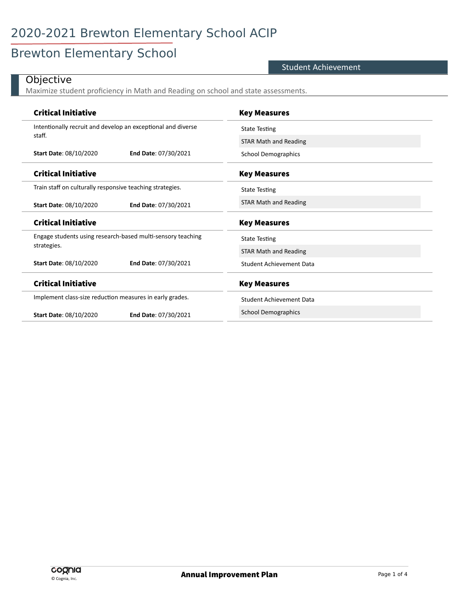## Brewton Elementary School

#### Student Achievement

### **Objective**

 $\overline{a}$ 

Maximize student proficiency in Math and Reading on school and state assessments.

| <b>Critical Initiative</b>                                   |                                                             | <b>Key Measures</b>             |
|--------------------------------------------------------------|-------------------------------------------------------------|---------------------------------|
| Intentionally recruit and develop an exceptional and diverse |                                                             | <b>State Testing</b>            |
| staff.                                                       |                                                             | <b>STAR Math and Reading</b>    |
| <b>Start Date: 08/10/2020</b>                                | <b>End Date: 07/30/2021</b>                                 | <b>School Demographics</b>      |
| <b>Critical Initiative</b>                                   |                                                             | <b>Key Measures</b>             |
| Train staff on culturally responsive teaching strategies.    |                                                             | <b>State Testing</b>            |
| Start Date: 08/10/2020                                       | End Date: 07/30/2021                                        | <b>STAR Math and Reading</b>    |
|                                                              |                                                             |                                 |
| <b>Critical Initiative</b>                                   |                                                             | <b>Key Measures</b>             |
|                                                              | Engage students using research-based multi-sensory teaching | <b>State Testing</b>            |
| strategies.                                                  |                                                             | <b>STAR Math and Reading</b>    |
| <b>Start Date: 08/10/2020</b>                                | End Date: 07/30/2021                                        | <b>Student Achievement Data</b> |
| <b>Critical Initiative</b>                                   |                                                             | <b>Key Measures</b>             |
| Implement class-size reduction measures in early grades.     |                                                             | Student Achievement Data        |
| <b>Start Date: 08/10/2020</b>                                | End Date: 07/30/2021                                        | <b>School Demographics</b>      |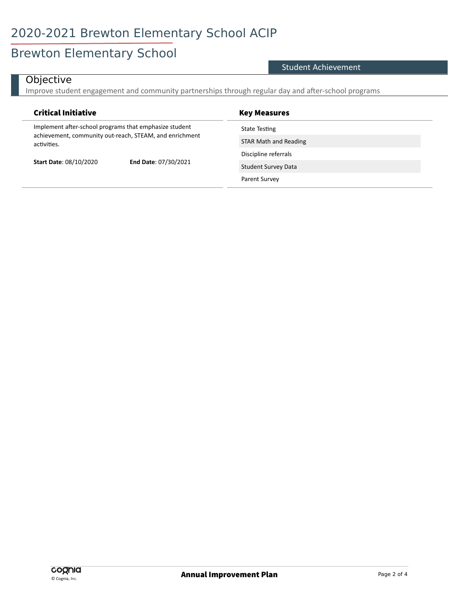## Brewton Elementary School

#### Student Achievement

### **Objective**

Improve student engagement and community partnerships through regular day and after-school programs

| <b>Critical Initiative</b>                                                                                                       |                      | <b>Key Measures</b>        |
|----------------------------------------------------------------------------------------------------------------------------------|----------------------|----------------------------|
| Implement after-school programs that emphasize student<br>achievement, community out-reach, STEAM, and enrichment<br>activities. |                      | State Testing              |
|                                                                                                                                  |                      | STAR Math and Reading      |
| <b>Start Date: 08/10/2020</b>                                                                                                    | End Date: 07/30/2021 | Discipline referrals       |
|                                                                                                                                  |                      | <b>Student Survey Data</b> |
|                                                                                                                                  |                      | Parent Survey              |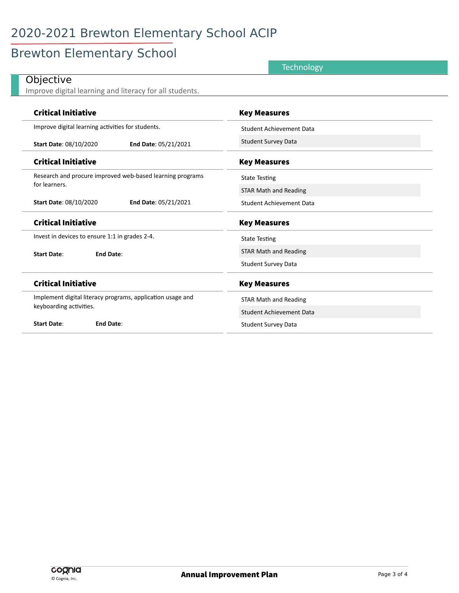# 2020-2021 Brewton Elementary School ACIP

# Brewton Elementary School

| Technology                                                 |                                 |
|------------------------------------------------------------|---------------------------------|
| Objective                                                  |                                 |
| Improve digital learning and literacy for all students.    |                                 |
| <b>Critical Initiative</b>                                 | <b>Key Measures</b>             |
|                                                            |                                 |
| Improve digital learning activities for students.          | <b>Student Achievement Data</b> |
| End Date: 05/21/2021<br>Start Date: 08/10/2020             | <b>Student Survey Data</b>      |
| <b>Critical Initiative</b>                                 | <b>Key Measures</b>             |
| Research and procure improved web-based learning programs  | <b>State Testing</b>            |
| for learners.                                              | <b>STAR Math and Reading</b>    |
| <b>Start Date: 08/10/2020</b><br>End Date: 05/21/2021      | <b>Student Achievement Data</b> |
| <b>Critical Initiative</b>                                 | <b>Key Measures</b>             |
| Invest in devices to ensure 1:1 in grades 2-4.             | <b>State Testing</b>            |
| <b>End Date:</b><br><b>Start Date:</b>                     | <b>STAR Math and Reading</b>    |
|                                                            | <b>Student Survey Data</b>      |
| <b>Critical Initiative</b>                                 | <b>Key Measures</b>             |
| Implement digital literacy programs, application usage and | <b>STAR Math and Reading</b>    |
| keyboarding activities.                                    | <b>Student Achievement Data</b> |
| <b>Start Date:</b><br><b>End Date:</b>                     | <b>Student Survey Data</b>      |